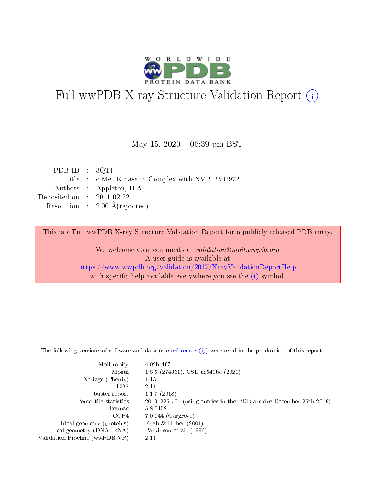

# Full wwPDB X-ray Structure Validation Report (i)

#### May 15,  $2020 - 06:39$  pm BST

| PDBID : 3QTI                                    |
|-------------------------------------------------|
| Title : c-Met Kinase in Complex with NVP-BVU972 |
| Authors : Appleton, B.A.                        |
| Deposited on : $2011-02-22$                     |
| Resolution : $2.00 \text{ Å}$ (reported)        |
|                                                 |

This is a Full wwPDB X-ray Structure Validation Report for a publicly released PDB entry.

We welcome your comments at validation@mail.wwpdb.org A user guide is available at <https://www.wwpdb.org/validation/2017/XrayValidationReportHelp> with specific help available everywhere you see the  $(i)$  symbol.

The following versions of software and data (see [references](https://www.wwpdb.org/validation/2017/XrayValidationReportHelp#references)  $(1)$ ) were used in the production of this report:

| MolProbity :                   |               | $4.02b - 467$                                                                |
|--------------------------------|---------------|------------------------------------------------------------------------------|
|                                |               | Mogul : 1.8.5 (274361), CSD as 541be (2020)                                  |
| $X$ triage (Phenix) :          |               | 1.13                                                                         |
| EDS.                           |               | 2.11                                                                         |
| buster-report : $1.1.7$ (2018) |               |                                                                              |
| Percentile statistics :        |               | $20191225 \text{ v}01$ (using entries in the PDB archive December 25th 2019) |
| Refmac :                       |               | 5.8.0158                                                                     |
| $CCP4$ :                       |               | $7.0.044$ (Gargrove)                                                         |
| Ideal geometry (proteins) :    |               | Engh $\&$ Huber (2001)                                                       |
| Ideal geometry (DNA, RNA) :    |               | Parkinson et al. (1996)                                                      |
| Validation Pipeline (wwPDB-VP) | $\mathcal{L}$ | 2.11                                                                         |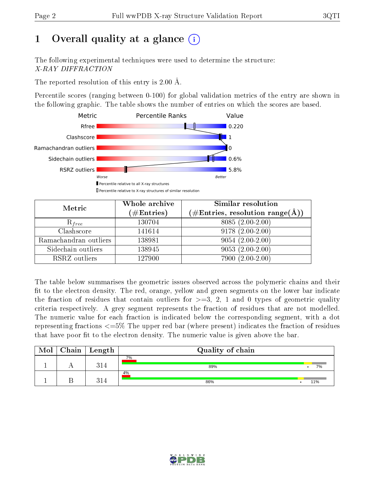# 1 [O](https://www.wwpdb.org/validation/2017/XrayValidationReportHelp#overall_quality)verall quality at a glance  $(i)$

The following experimental techniques were used to determine the structure: X-RAY DIFFRACTION

The reported resolution of this entry is 2.00 Å.

Percentile scores (ranging between 0-100) for global validation metrics of the entry are shown in the following graphic. The table shows the number of entries on which the scores are based.



| Metric                | Whole archive<br>$(\#\text{Entries})$ | <b>Similar resolution</b><br>$(\#\text{Entries}, \text{resolution range}(\text{\AA}))$ |
|-----------------------|---------------------------------------|----------------------------------------------------------------------------------------|
| $R_{free}$            | 130704                                | $8085(2.00-2.00)$                                                                      |
| Clashscore            | 141614                                | $9178(2.00-2.00)$                                                                      |
| Ramachandran outliers | 138981                                | $\overline{9054}$ $(2.00-2.00)$                                                        |
| Sidechain outliers    | 138945                                | $9053(2.00-2.00)$                                                                      |
| RSRZ outliers         | 127900                                | $7900(2.00-2.00)$                                                                      |

The table below summarises the geometric issues observed across the polymeric chains and their fit to the electron density. The red, orange, yellow and green segments on the lower bar indicate the fraction of residues that contain outliers for  $>=3, 2, 1$  and 0 types of geometric quality criteria respectively. A grey segment represents the fraction of residues that are not modelled. The numeric value for each fraction is indicated below the corresponding segment, with a dot representing fractions  $\epsilon=5\%$  The upper red bar (where present) indicates the fraction of residues that have poor fit to the electron density. The numeric value is given above the bar.

| Mol | $Chain \  Length$ | Quality of chain |     |  |  |  |
|-----|-------------------|------------------|-----|--|--|--|
|     | 314               | 7%<br>89%        | 7%  |  |  |  |
|     | 314               | 4%<br>86%        | 11% |  |  |  |

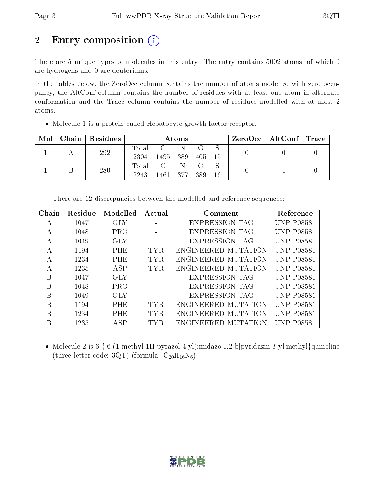# 2 Entry composition (i)

There are 5 unique types of molecules in this entry. The entry contains 5002 atoms, of which 0 are hydrogens and 0 are deuteriums.

In the tables below, the ZeroOcc column contains the number of atoms modelled with zero occupancy, the AltConf column contains the number of residues with at least one atom in alternate conformation and the Trace column contains the number of residues modelled with at most 2 atoms.

| $\text{Mol}$ |  | Chain Residues | Atoms        |               |        |     |  | $\rm{ZeroOcc}$   AltConf   Trace |  |
|--------------|--|----------------|--------------|---------------|--------|-----|--|----------------------------------|--|
|              |  | 292            | Total        | C N           |        |     |  |                                  |  |
|              |  | 2304           | 1495 389     |               | 405 15 |     |  |                                  |  |
|              |  | 280            | Total        | $\mathcal{C}$ | -N     |     |  |                                  |  |
|              |  | 2243           | 1461 377 389 |               |        | -16 |  |                                  |  |

Molecule 1 is a protein called Hepatocyte growth factor receptor.

| Chain | Residue | Modelled   | Actual     | Comment               | Reference         |
|-------|---------|------------|------------|-----------------------|-------------------|
| А     | 1047    | GLY        |            | <b>EXPRESSION TAG</b> | <b>UNP P08581</b> |
| А     | 1048    | PRO        |            | <b>EXPRESSION TAG</b> | <b>UNP P08581</b> |
| А     | 1049    | <b>GLY</b> |            | <b>EXPRESSION TAG</b> | <b>UNP P08581</b> |
| А     | 1194    | PHE        | <b>TYR</b> | ENGINEERED MUTATION   | <b>UNP P08581</b> |
| A     | 1234    | <b>PHE</b> | TYR.       | ENGINEERED MUTATION   | <b>UNP P08581</b> |
| А     | 1235    | ASP        | <b>TYR</b> | ENGINEERED MUTATION   | <b>UNP P08581</b> |
| B     | 1047    | GLY        |            | <b>EXPRESSION TAG</b> | <b>UNP P08581</b> |
| B     | 1048    | <b>PRO</b> |            | <b>EXPRESSION TAG</b> | <b>UNP P08581</b> |
| B     | 1049    | GLY        |            | <b>EXPRESSION TAG</b> | <b>UNP P08581</b> |
| B     | 1194    | PHE        | TYR.       | ENGINEERED MUTATION   | UNP P08581        |
| B     | 1234    | PHE        | <b>TYR</b> | ENGINEERED MUTATION   | <b>UNP P08581</b> |
| B     | 1235    | ASP        | <b>TYR</b> | ENGINEERED MUTATION   | <b>UNP P08581</b> |

There are 12 discrepancies between the modelled and reference sequences:

• Molecule 2 is  $6-\{6-(1-methyl-1H-pyrazol-4-yl)imidazo[1,2-b]pyridazin-3-yl|methyl\}quinoline$ (three-letter code: 3QT) (formula:  $C_{20}H_{16}N_6$ ).

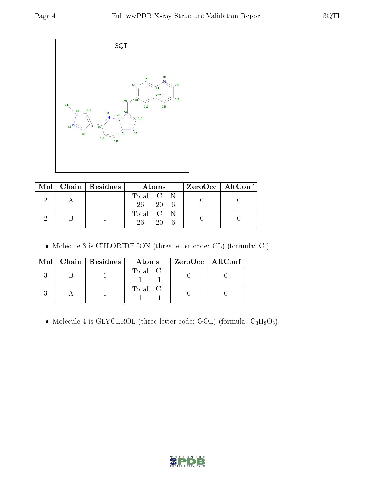

|  | Mol   Chain   Residues | Atoms                        | ZeroOcc   AltConf |  |
|--|------------------------|------------------------------|-------------------|--|
|  |                        | Total C N<br>$26 \t 20 \t 6$ |                   |  |
|  |                        | Total C N<br>26<br>20        |                   |  |

Molecule 3 is CHLORIDE ION (three-letter code: CL) (formula: Cl).

|  | $Mol$   Chain   Residues | Atoms    | ZeroOcc   AltConf |
|--|--------------------------|----------|-------------------|
|  |                          | Total Cl |                   |
|  |                          | Total Cl |                   |

 $\bullet$  Molecule 4 is GLYCEROL (three-letter code: GOL) (formula:  $\rm{C_3H_8O_3}).$ 

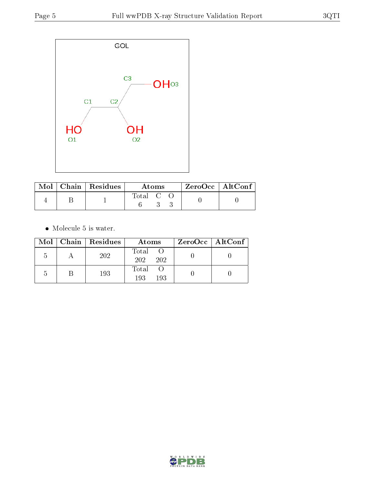

|  | $\text{Mol}$   Chain   Residues | Atoms              |  |  | $\rm ZeroOcc$   Alt $\rm Conf$ |  |
|--|---------------------------------|--------------------|--|--|--------------------------------|--|
|  |                                 | $\mathrm{Total}$ C |  |  |                                |  |

 $\bullet\,$  Molecule 5 is water.

|  | Mol   Chain   Residues | Atoms               | $ZeroOcc \   \ AltConf \  $ |
|--|------------------------|---------------------|-----------------------------|
|  | 202                    | Total<br>202<br>202 |                             |
|  | 193                    | Total<br>193<br>193 |                             |

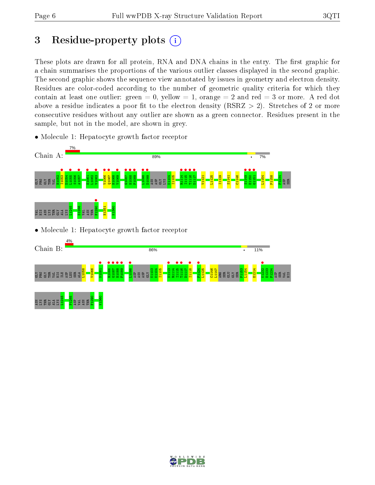# 3 Residue-property plots  $(i)$

These plots are drawn for all protein, RNA and DNA chains in the entry. The first graphic for a chain summarises the proportions of the various outlier classes displayed in the second graphic. The second graphic shows the sequence view annotated by issues in geometry and electron density. Residues are color-coded according to the number of geometric quality criteria for which they contain at least one outlier: green  $= 0$ , yellow  $= 1$ , orange  $= 2$  and red  $= 3$  or more. A red dot above a residue indicates a poor fit to the electron density (RSRZ  $> 2$ ). Stretches of 2 or more consecutive residues without any outlier are shown as a green connector. Residues present in the sample, but not in the model, are shown in grey.



• Molecule 1: Hepatocyte growth factor receptor



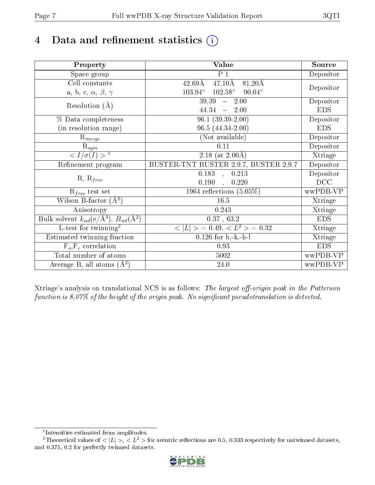# 4 Data and refinement statistics  $(i)$

| Property                                                             | Value                                                       | Source     |
|----------------------------------------------------------------------|-------------------------------------------------------------|------------|
| $\overline{S}$ pace group                                            | $P_1$                                                       | Depositor  |
| Cell constants                                                       | $47.10\text{\AA}$<br>$81.20\text{\AA}$<br>$42.69\text{\AA}$ |            |
| a, b, c, $\alpha$ , $\beta$ , $\gamma$                               | $102.58^\circ$<br>$90.04^\circ$<br>$103.94^{\circ}$         | Depositor  |
| Resolution $(A)$                                                     | 39.39<br>$-2.00$                                            | Depositor  |
|                                                                      | 44.34<br>2.00<br>$\equiv$                                   | <b>EDS</b> |
| % Data completeness                                                  | $96.1(39.39-2.00)$                                          | Depositor  |
| (in resolution range)                                                | $96.5(44.34-2.00)$                                          | <b>EDS</b> |
| $R_{merge}$                                                          | (Not available)                                             | Depositor  |
| $\mathrm{R}_{sym}$                                                   | 0.11                                                        | Depositor  |
| $\langle I/\sigma(I)\rangle^{-1}$                                    | $\overline{2.18}$ (at 2.00 Å)                               | Xtriage    |
| Refinement program                                                   | BUSTER-TNT BUSTER 2.9.7, BUSTER 2.9.7                       | Depositor  |
|                                                                      | 0.183<br>0.213<br>$\sim$                                    | Depositor  |
| $R, R_{free}$                                                        | 0.190<br>0.220                                              | DCC        |
| $R_{free}$ test set                                                  | 1964 reflections $(5.05\%)$                                 | wwPDB-VP   |
| Wilson B-factor $(A^2)$                                              | 16.5                                                        | Xtriage    |
| Anisotropy                                                           | 0.243                                                       | Xtriage    |
| Bulk solvent $k_{sol}(e/\mathring{A}^3)$ , $B_{sol}(\mathring{A}^2)$ | 0.37, 63.2                                                  | <b>EDS</b> |
| $L$ -test for twinning <sup>2</sup>                                  | $>$ = 0.49, < $L^2$ > = 0.32<br>< L                         | Xtriage    |
| Estimated twinning fraction                                          | $0.126$ for $h,-k,-h-1$                                     | Xtriage    |
| $F_o, F_c$ correlation                                               | 0.93                                                        | <b>EDS</b> |
| Total number of atoms                                                | 5002                                                        | wwPDB-VP   |
| Average B, all atoms $(A^2)$                                         | 24.0                                                        | wwPDB-VP   |

Xtriage's analysis on translational NCS is as follows: The largest off-origin peak in the Patterson function is  $8.07\%$  of the height of the origin peak. No significant pseudotranslation is detected.

<sup>&</sup>lt;sup>2</sup>Theoretical values of  $\langle |L| \rangle$ ,  $\langle L^2 \rangle$  for acentric reflections are 0.5, 0.333 respectively for untwinned datasets, and 0.375, 0.2 for perfectly twinned datasets.



<span id="page-6-1"></span><span id="page-6-0"></span><sup>1</sup> Intensities estimated from amplitudes.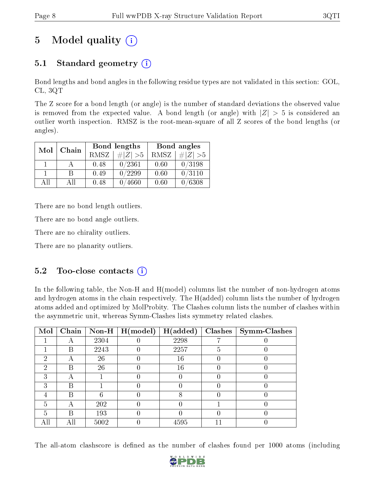# 5 Model quality  $(i)$

# 5.1 Standard geometry  $(i)$

Bond lengths and bond angles in the following residue types are not validated in this section: GOL, CL, 3QT

The Z score for a bond length (or angle) is the number of standard deviations the observed value is removed from the expected value. A bond length (or angle) with  $|Z| > 5$  is considered an outlier worth inspection. RMSZ is the root-mean-square of all Z scores of the bond lengths (or angles).

| Mol | Chain       |             | Bond lengths   | Bond angles |        |  |
|-----|-------------|-------------|----------------|-------------|--------|--|
|     | <b>RMSZ</b> | $\# Z  > 5$ | RMSZ           | $\# Z  > 5$ |        |  |
|     |             | 0.48        | 0/2361         | 0.60        | 0/3198 |  |
|     | R           | 0.49        | 0/2299         | 0.60        | 0/3110 |  |
| AΠ  | АH          | 0.48        | $^\prime 4660$ | 0.60        | /6308  |  |

There are no bond length outliers.

There are no bond angle outliers.

There are no chirality outliers.

There are no planarity outliers.

### $5.2$  Too-close contacts  $\overline{()}$

In the following table, the Non-H and H(model) columns list the number of non-hydrogen atoms and hydrogen atoms in the chain respectively. The H(added) column lists the number of hydrogen atoms added and optimized by MolProbity. The Clashes column lists the number of clashes within the asymmetric unit, whereas Symm-Clashes lists symmetry related clashes.

| Mol | Chain |      | $\sqrt{\text{Non-H} \mid \text{H}(\text{model})}$ | H(added) |   | $Clashes$   Symm-Clashes |
|-----|-------|------|---------------------------------------------------|----------|---|--------------------------|
|     |       | 2304 |                                                   | 2298     |   |                          |
|     | В     | 2243 |                                                   | 2257     | 5 |                          |
| 2   |       | 26   |                                                   | 16       |   |                          |
| 2   | В     | 26   |                                                   | 16       |   |                          |
| 3   | А     |      |                                                   |          |   |                          |
| 3   | В     |      |                                                   |          |   |                          |
|     | В     |      |                                                   |          |   |                          |
| 5   | А     | 202  |                                                   |          |   |                          |
| 5   | В     | 193  |                                                   |          |   |                          |
| All |       | 5002 |                                                   | 4595     |   |                          |

The all-atom clashscore is defined as the number of clashes found per 1000 atoms (including

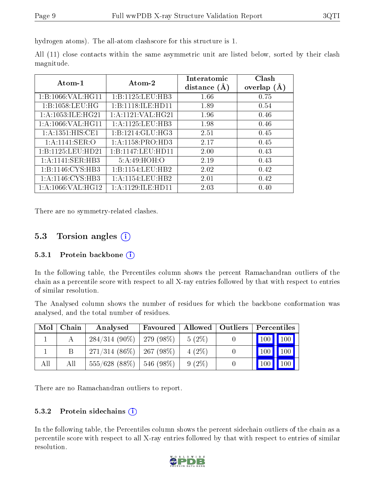hydrogen atoms). The all-atom clashscore for this structure is 1.

All (11) close contacts within the same asymmetric unit are listed below, sorted by their clash magnitude.

| Atom-1                | Atom-2               | Interatomic<br>(A)<br>distance | Clash<br>overlap $(A)$ |
|-----------------------|----------------------|--------------------------------|------------------------|
| 1:B:1066:VAL:HG11     | 1:B:1125:LEU:HB3     | 1.66                           | 0.75                   |
| 1:B:1058:LEU:HG       | 1:B:1118:ILE:HD11    | 1.89                           | 0.54                   |
| 1: A: 1053: ILE: HG21 | 1:A:1121:VAL:HG21    | 1.96                           | 0.46                   |
| 1:A:1066:VAL:HG11     | 1:A:1125:LEU:HB3     | 1.98                           | 0.46                   |
| 1: A: 1351: HIS: CE1  | 1:B:1214:GLU:HG3     | 2.51                           | 0.45                   |
| 1: A: 1141: SER: O    | 1: A:1158: PRO:HD3   | 2.17                           | 0.45                   |
| 1:B:1125:LEU:HD21     | 1:B:1147:LEU:HD11    | 2.00                           | 0.43                   |
| 1: A:1141: SER:HB3    | 5:A:49:HOH:O         | 2.19                           | 0.43                   |
| 1: B: 1146: CYS: HB3  | 1:B:1154:LEU:HB2     | 2.02                           | 0.42                   |
| 1:A:1146:CYS:HB3      | 1: A: 1154: LEU: HB2 | 2.01                           | 0.42                   |
| 1: A: 1066: VAL: HG12 | 1:A:1129:ILE:HD11    | 2.03                           | 0.40                   |

There are no symmetry-related clashes.

### 5.3 Torsion angles (i)

#### 5.3.1 Protein backbone (i)

In the following table, the Percentiles column shows the percent Ramachandran outliers of the chain as a percentile score with respect to all X-ray entries followed by that with respect to entries of similar resolution.

The Analysed column shows the number of residues for which the backbone conformation was analysed, and the total number of residues.

| Mol | Chain | Analysed                      | Favoured      | Allowed   Outliers | Percentiles |
|-----|-------|-------------------------------|---------------|--------------------|-------------|
|     |       | $284/314$ (90\%)   279 (98\%) |               | $5(2\%)$           | 100 100     |
|     |       | $271/314(86\%)$               | 267 (98 $%$ ) | $4(2\%)$           | 100<br>100  |
| All | All   | $555/628$ (88\%)              | $1546(98\%)$  | $9(2\%)$           | 100<br>100  |

There are no Ramachandran outliers to report.

#### 5.3.2 Protein sidechains  $(i)$

In the following table, the Percentiles column shows the percent sidechain outliers of the chain as a percentile score with respect to all X-ray entries followed by that with respect to entries of similar resolution.

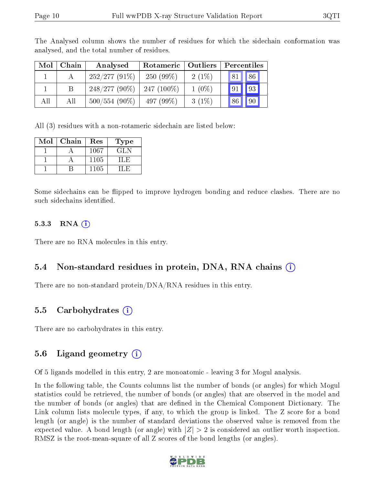| Mol | Chain | Analysed        | Rotameric   Outliers |          | Percentiles     |
|-----|-------|-----------------|----------------------|----------|-----------------|
|     |       | $252/277(91\%)$ | $250(99\%)$          | $2(1\%)$ | 81   86         |
|     |       | $248/277(90\%)$ | $247(100\%)$         | $1(0\%)$ | 93              |
| All | All   | $500/554(90\%)$ | 497 (99\%)           | $3(1\%)$ | 90 <sup>°</sup> |

The Analysed column shows the number of residues for which the sidechain conformation was analysed, and the total number of residues.

All (3) residues with a non-rotameric sidechain are listed below:

| Mol | Chain | Res  | Type |
|-----|-------|------|------|
|     |       | 1067 | GLN  |
|     |       | 1105 |      |
|     |       | 1105 |      |

Some sidechains can be flipped to improve hydrogen bonding and reduce clashes. There are no such sidechains identified.

#### $5.3.3$  RNA  $(i)$

There are no RNA molecules in this entry.

### 5.4 Non-standard residues in protein, DNA, RNA chains (i)

There are no non-standard protein/DNA/RNA residues in this entry.

### 5.5 Carbohydrates (i)

There are no carbohydrates in this entry.

### 5.6 Ligand geometry  $(i)$

Of 5 ligands modelled in this entry, 2 are monoatomic - leaving 3 for Mogul analysis.

In the following table, the Counts columns list the number of bonds (or angles) for which Mogul statistics could be retrieved, the number of bonds (or angles) that are observed in the model and the number of bonds (or angles) that are defined in the Chemical Component Dictionary. The Link column lists molecule types, if any, to which the group is linked. The Z score for a bond length (or angle) is the number of standard deviations the observed value is removed from the expected value. A bond length (or angle) with  $|Z| > 2$  is considered an outlier worth inspection. RMSZ is the root-mean-square of all Z scores of the bond lengths (or angles).

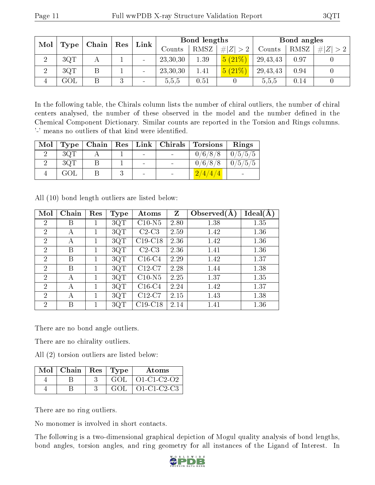| Mol | ${\rm Res}$<br>Chain |  | Link | Bond lengths |            |      | Bond angles |            |      |     |
|-----|----------------------|--|------|--------------|------------|------|-------------|------------|------|-----|
|     | Type                 |  |      |              | Counts     | RMSZ | # $ Z  > 2$ | Counts     | RMSZ | # Z |
|     | 3QT                  |  |      |              | 23, 30, 30 | 1.39 | (5 (21%)    | 29,43,43   | 0.97 |     |
| ച   | 3QT                  |  |      |              | 23,30,30   | 1.41 | 5(21%)      | 29, 43, 43 | 0.94 |     |
| 4   | $\rm GOL$            |  |      | -            | 5,5,5      | 0.51 |             | 5,5,5      | 0.14 |     |

In the following table, the Chirals column lists the number of chiral outliers, the number of chiral centers analysed, the number of these observed in the model and the number defined in the Chemical Component Dictionary. Similar counts are reported in the Torsion and Rings columns. '-' means no outliers of that kind were identified.

| Mol |     |  |                | Type   Chain   Res   Link   Chirals   Torsions   Rings |                     |
|-----|-----|--|----------------|--------------------------------------------------------|---------------------|
|     | 3QT |  | $\sim$         | $0/6/8/8$   $0/5/5/5$                                  |                     |
|     | 3QT |  | $\sim$         | 0/6/8/8                                                | $\mid 0/5/5/5 \mid$ |
|     | GOL |  | $\blacksquare$ | 2/4/4/4                                                |                     |

All (10) bond length outliers are listed below:

| Mol            | Chain | Res | <b>Type</b> | Atoms     | Z    | Observed $(A)$ | Ideal(A |
|----------------|-------|-----|-------------|-----------|------|----------------|---------|
| 2              | В     |     | 3QT         | $C10-N5$  | 2.80 | 1.38           | 1.35    |
| $\overline{2}$ | А     |     | 3QT         | $C2-C3$   | 2.59 | 1.42           | 1.36    |
| $\overline{2}$ | А     |     | 3QT         | $C19-C18$ | 2.36 | 1.42           | 1.36    |
| $\overline{2}$ | В     |     | 3QT         | $C2-C3$   | 2.36 | 1.41           | 1.36    |
| $\overline{2}$ | В     |     | 3QT         | $C16-C4$  | 2.29 | 1.42           | 1.37    |
| $\overline{2}$ | Β     |     | 3QT         | $C12-C7$  | 2.28 | 1.44           | 1.38    |
| 2              | А     |     | 3QT         | $C10-N5$  | 2.25 | 1.37           | 1.35    |
| $\overline{2}$ | А     |     | 3QT         | $C16-C4$  | 2.24 | 1.42           | 1.37    |
| $\overline{2}$ | А     |     | 3QT         | $C12-C7$  | 2.15 | 1.43           | 1.38    |
| $\overline{2}$ | В     |     | 3QT         | $C19-C18$ | 2.14 | 1.41           | 1.36    |

There are no bond angle outliers.

There are no chirality outliers.

All (2) torsion outliers are listed below:

| Mol $\vert$ Chain $\vert$ Res $\vert$ Type |      | Atoms                 |
|--------------------------------------------|------|-----------------------|
|                                            |      | $GOL$   $O1-C1-C2-O2$ |
|                                            | GOL. | $\vert$ O1-C1-C2-C3   |

There are no ring outliers.

No monomer is involved in short contacts.

The following is a two-dimensional graphical depiction of Mogul quality analysis of bond lengths, bond angles, torsion angles, and ring geometry for all instances of the Ligand of Interest. In

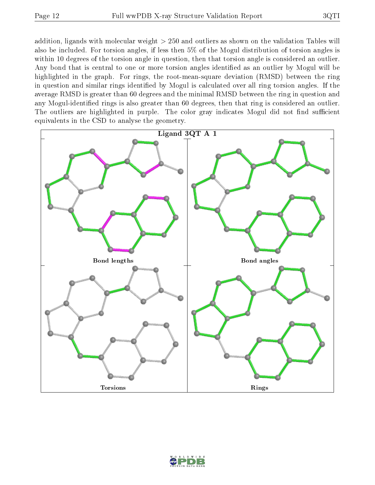addition, ligands with molecular weight > 250 and outliers as shown on the validation Tables will also be included. For torsion angles, if less then 5% of the Mogul distribution of torsion angles is within 10 degrees of the torsion angle in question, then that torsion angle is considered an outlier. Any bond that is central to one or more torsion angles identified as an outlier by Mogul will be highlighted in the graph. For rings, the root-mean-square deviation (RMSD) between the ring in question and similar rings identified by Mogul is calculated over all ring torsion angles. If the average RMSD is greater than 60 degrees and the minimal RMSD between the ring in question and any Mogul-identied rings is also greater than 60 degrees, then that ring is considered an outlier. The outliers are highlighted in purple. The color gray indicates Mogul did not find sufficient equivalents in the CSD to analyse the geometry.



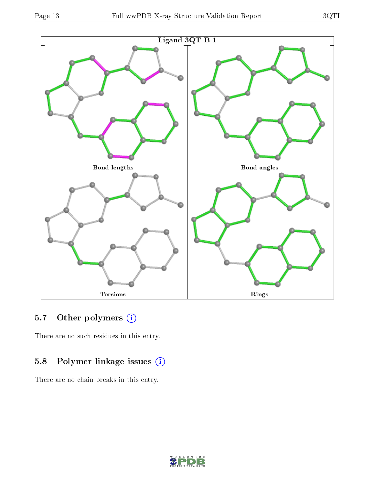

# 5.7 [O](https://www.wwpdb.org/validation/2017/XrayValidationReportHelp#nonstandard_residues_and_ligands)ther polymers (i)

There are no such residues in this entry.

# 5.8 Polymer linkage issues (i)

There are no chain breaks in this entry.

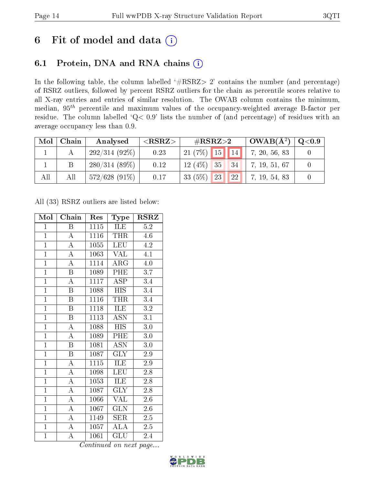# 6 Fit of model and data  $(i)$

# 6.1 Protein, DNA and RNA chains  $(i)$

In the following table, the column labelled  $#RSRZ> 2'$  contains the number (and percentage) of RSRZ outliers, followed by percent RSRZ outliers for the chain as percentile scores relative to all X-ray entries and entries of similar resolution. The OWAB column contains the minimum, median,  $95<sup>th</sup>$  percentile and maximum values of the occupancy-weighted average B-factor per residue. The column labelled ' $Q< 0.9$ ' lists the number of (and percentage) of residues with an average occupancy less than 0.9.

| Mol | Chain | Analysed        | ${ <\hspace{-1.5pt}{\mathrm{RSRZ}} \hspace{-1.5pt}>}$ | $\#\text{RSRZ}\text{>2}$     | $+$ OWAB( $A^2$ ) $+$ | $\rm Q\textcolor{black}{<}0.9$ |
|-----|-------|-----------------|-------------------------------------------------------|------------------------------|-----------------------|--------------------------------|
|     |       | $292/314(92\%)$ | 0.23                                                  | 21 (7%) 15   14              | 7, 20, 56, 83         |                                |
|     |       | $280/314(89\%)$ | 0.12                                                  | $12(4\%)$ 35<br>$\sqrt{34}$  | 7, 19, 51, 67         |                                |
| All | All   | $572/628(91\%)$ | 0.17                                                  | 33 $(5%)$<br>23<br><b>22</b> | 7, 19, 54, 83         |                                |

All (33) RSRZ outliers are listed below:

| Mol            | Chain                   | Res  | Type                      | <b>RSRZ</b>      |
|----------------|-------------------------|------|---------------------------|------------------|
| $\mathbf{1}$   | Β                       | 1115 | ILE                       | 5.2              |
| $\overline{1}$ | $\overline{A}$          | 1116 | <b>THR</b>                | 4.6              |
| $\overline{1}$ | $\overline{\rm A}$      | 1055 | <b>LEU</b>                | 4.2              |
| $\overline{1}$ | $\overline{\rm A}$      | 1063 | <b>VAL</b>                | 4.1              |
| $\overline{1}$ | $\overline{\rm A}$      | 1114 | $\rm{ARG}$                | 4.0              |
| $\mathbf{1}$   | B                       | 1089 | PHE                       | 3.7              |
| $\overline{1}$ | $\overline{\rm A}$      | 1117 | <b>ASP</b>                | 3.4              |
| $\overline{1}$ | Β                       | 1088 | <b>HIS</b>                | 3.4              |
| $\overline{1}$ | B                       | 1116 | <b>THR</b>                | 3.4              |
| $\overline{1}$ | $\overline{\mathrm{B}}$ | 1118 | ILE                       | $\overline{3.2}$ |
| $\overline{1}$ | $\overline{\mathrm{B}}$ | 1113 | $\overline{\mathrm{ASN}}$ | $\overline{3.1}$ |
| $\overline{1}$ | $\overline{\rm A}$      | 1088 | $\overline{HIS}$          | 3.0              |
| $\overline{1}$ | $\overline{\rm A}$      | 1089 | PHE                       | 3.0              |
| $\overline{1}$ | B                       | 1081 | $\overline{\mathrm{ASN}}$ | 3.0              |
| $\overline{1}$ | $\overline{\mathrm{B}}$ | 1087 | $\overline{\text{GLY}}$   | $\overline{2.9}$ |
| $\overline{1}$ | $\boldsymbol{A}$        | 1115 | ILE                       | 2.9              |
| $\overline{1}$ | $\overline{\rm A}$      | 1098 | $\overline{\text{LEU}}$   | $\overline{2.8}$ |
| $\overline{1}$ | A                       | 1053 | $IL\overline{E}$          | 2.8              |
| $\mathbf{1}$   | $\overline{\rm A}$      | 1087 | <b>GLY</b>                | 2.8              |
| $\overline{1}$ | $\overline{\rm A}$      | 1066 | VAL                       | 2.6              |
| $\mathbf{1}$   | $\overline{\rm A}$      | 1067 | <b>GLN</b>                | 2.6              |
| $\overline{1}$ | $\overline{\rm A}$      | 1149 | SER                       | 2.5              |
| $\overline{1}$ | $\overline{\rm A}$      | 1057 | ALA                       | $2.5\,$          |
| $\overline{1}$ | $\overline{\rm A}$      | 1061 | GLU<br>$\blacksquare$     | 2.4              |

Continued on next page...

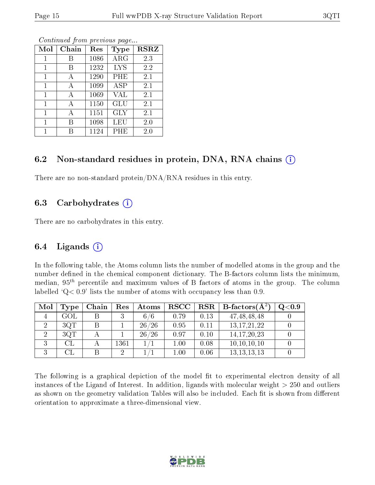| Mol | Chain | Res  | Type       | <b>RSRZ</b> |
|-----|-------|------|------------|-------------|
| 1   | В     | 1086 | $\rm{ARG}$ | 2.3         |
| 1   | В     | 1232 | <b>LYS</b> | 2.2         |
|     | А     | 1290 | PHE        | 2.1         |
| 1   | А     | 1099 | ASP        | 2.1         |
| 1   | A     | 1069 | VAL        | 2.1         |
| 1   | А     | 1150 | GLU        | 2.1         |
| 1   | А     | 1151 | GLY        | 2.1         |
| 1   | В     | 1098 | LEU        | 2.0         |
|     |       | 1124 | PHE        | 2.0         |

Continued from previous page...

### 6.2 Non-standard residues in protein, DNA, RNA chains  $(i)$

There are no non-standard protein/DNA/RNA residues in this entry.

### 6.3 Carbohydrates  $(i)$

There are no carbohydrates in this entry.

### 6.4 Ligands  $(i)$

In the following table, the Atoms column lists the number of modelled atoms in the group and the number defined in the chemical component dictionary. The B-factors column lists the minimum, median,  $95<sup>th</sup>$  percentile and maximum values of B factors of atoms in the group. The column labelled  $Q< 0.9$ ' lists the number of atoms with occupancy less than 0.9.

| Mol | Type | Chain | Res  | Atoms | $\bf RSCC$ |      | $\mid$ RSR $\mid$ B-factors( $\rm \AA^2)$ | Q <sub>0.9</sub> |
|-----|------|-------|------|-------|------------|------|-------------------------------------------|------------------|
|     | GOL  |       |      | 6/6   | 0.79       | 0.13 | 47, 48, 48, 48                            |                  |
|     | 3QT  |       |      | 26/26 | 0.95       | 0.11 | 13, 17, 21, 22                            |                  |
|     | 3QT  |       |      | 26/26 | 0.97       | 0.10 | 14, 17, 20, 23                            |                  |
|     |      |       | 1361 |       | $1.00\,$   | 0.08 | 10, 10, 10, 10                            |                  |
|     |      |       |      |       | $1.00\,$   | 0.06 | 13, 13, 13, 13                            |                  |

The following is a graphical depiction of the model fit to experimental electron density of all instances of the Ligand of Interest. In addition, ligands with molecular weight  $> 250$  and outliers as shown on the geometry validation Tables will also be included. Each fit is shown from different orientation to approximate a three-dimensional view.

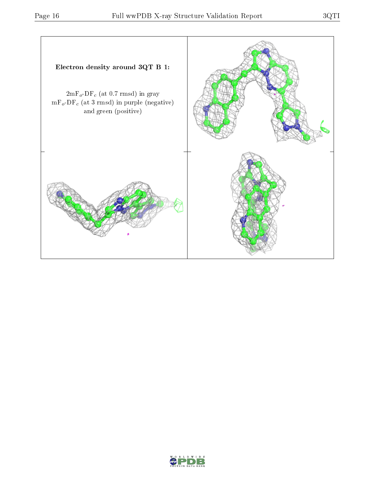